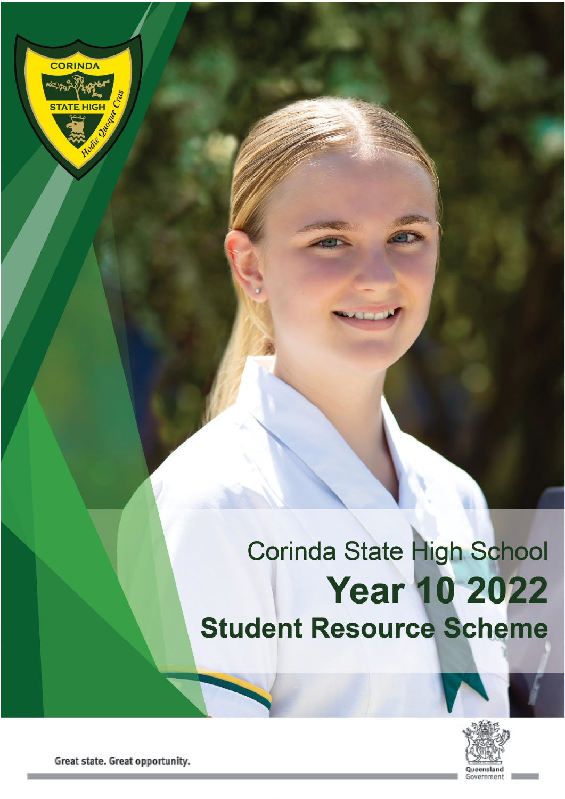

# Corinda State High School **Year 10 2022 Student Resource Scheme**



Great state. Great opportunity.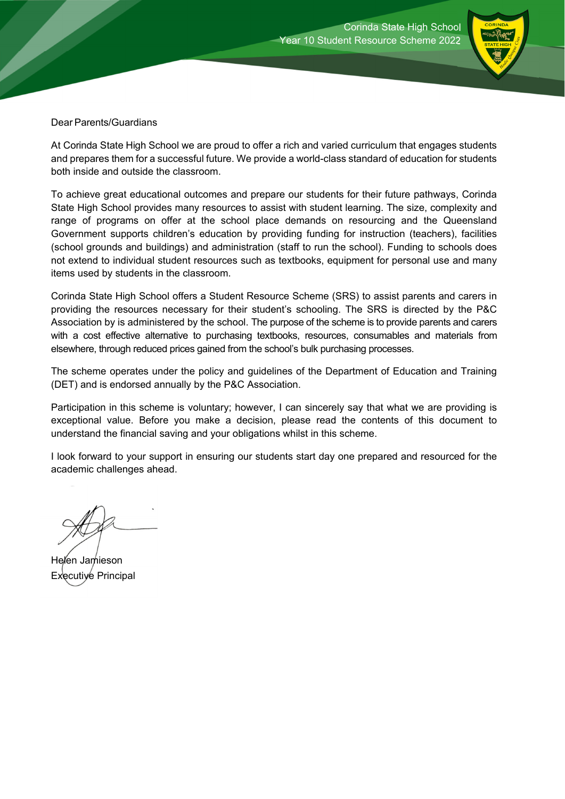

Dear Parents/Guardians

At Corinda State High School we are proud to offer a rich and varied curriculum that engages students and prepares them for a successful future. We provide a world-class standard of education for students both inside and outside the classroom.

To achieve great educational outcomes and prepare our students for their future pathways, Corinda State High School provides many resources to assist with student learning. The size, complexity and range of programs on offer at the school place demands on resourcing and the Queensland Government supports children's education by providing funding for instruction (teachers), facilities (school grounds and buildings) and administration (staff to run the school). Funding to schools does not extend to individual student resources such as textbooks, equipment for personal use and many items used by students in the classroom.

Corinda State High School offers a Student Resource Scheme (SRS) to assist parents and carers in providing the resources necessary for their student's schooling. The SRS is directed by the P&C Association by is administered by the school. The purpose of the scheme is to provide parents and carers with a cost effective alternative to purchasing textbooks, resources, consumables and materials from elsewhere, through reduced prices gained from the school's bulk purchasing processes.

The scheme operates under the policy and guidelines of the Department of Education and Training (DET) and is endorsed annually by the P&C Association.

Participation in this scheme is voluntary; however, I can sincerely say that what we are providing is exceptional value. Before you make a decision, please read the contents of this document to understand the financial saving and your obligations whilst in this scheme.

I look forward to your support in ensuring our students start day one prepared and resourced for the academic challenges ahead.

Helen Jamieson Executive Principal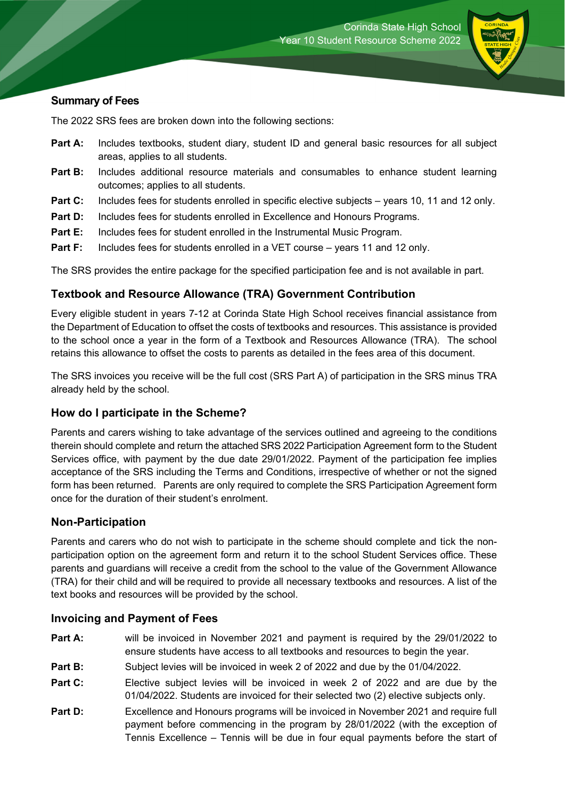

#### **Summary of Fees**

The 2022 SRS fees are broken down into the following sections:

- **Part A:** Includes textbooks, student diary, student ID and general basic resources for all subject areas, applies to all students.
- **Part B:** Includes additional resource materials and consumables to enhance student learning outcomes; applies to all students.
- **Part C:** Includes fees for students enrolled in specific elective subjects years 10, 11 and 12 only.
- **Part D:** Includes fees for students enrolled in Excellence and Honours Programs.
- **Part E:** Includes fees for student enrolled in the Instrumental Music Program.
- **Part F:** Includes fees for students enrolled in a VET course years 11 and 12 only.

The SRS provides the entire package for the specified participation fee and is not available in part.

#### **Textbook and Resource Allowance (TRA) Government Contribution**

Every eligible student in years 7-12 at Corinda State High School receives financial assistance from the Department of Education to offset the costs of textbooks and resources. This assistance is provided to the school once a year in the form of a Textbook and Resources Allowance (TRA). The school retains this allowance to offset the costs to parents as detailed in the fees area of this document.

The SRS invoices you receive will be the full cost (SRS Part A) of participation in the SRS minus TRA already held by the school.

#### **How do I participate in the Scheme?**

Parents and carers wishing to take advantage of the services outlined and agreeing to the conditions therein should complete and return the attached SRS 2022 Participation Agreement form to the Student Services office, with payment by the due date 29/01/2022. Payment of the participation fee implies acceptance of the SRS including the Terms and Conditions, irrespective of whether or not the signed form has been returned. Parents are only required to complete the SRS Participation Agreement form once for the duration of their student's enrolment.

#### **Non-Participation**

Parents and carers who do not wish to participate in the scheme should complete and tick the nonparticipation option on the agreement form and return it to the school Student Services office. These parents and guardians will receive a credit from the school to the value of the Government Allowance (TRA) for their child and will be required to provide all necessary textbooks and resources. A list of the text books and resources will be provided by the school.

#### **Invoicing and Payment of Fees**

- **Part A:** will be invoiced in November 2021 and payment is required by the 29/01/2022 to ensure students have access to all textbooks and resources to begin the year.
- **Part B:** Subject levies will be invoiced in week 2 of 2022 and due by the 01/04/2022.
- **Part C:** Elective subject levies will be invoiced in week 2 of 2022 and are due by the 01/04/2022. Students are invoiced for their selected two (2) elective subjects only.
- **Part D:** Excellence and Honours programs will be invoiced in November 2021 and require full payment before commencing in the program by 28/01/2022 (with the exception of Tennis Excellence – Tennis will be due in four equal payments before the start of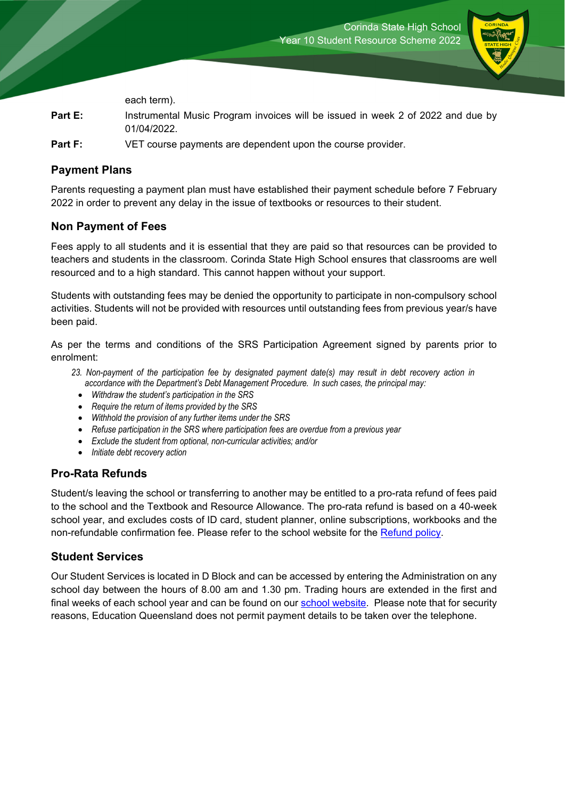

each term).

- **Part E:** Instrumental Music Program invoices will be issued in week 2 of 2022 and due by 01/04/2022.
- **Part F:** VET course payments are dependent upon the course provider.

#### **Payment Plans**

Parents requesting a payment plan must have established their payment schedule before 7 February 2022 in order to prevent any delay in the issue of textbooks or resources to their student.

#### **Non Payment of Fees**

Fees apply to all students and it is essential that they are paid so that resources can be provided to teachers and students in the classroom. Corinda State High School ensures that classrooms are well resourced and to a high standard. This cannot happen without your support.

Students with outstanding fees may be denied the opportunity to participate in non-compulsory school activities. Students will not be provided with resources until outstanding fees from previous year/s have been paid.

As per the terms and conditions of the SRS Participation Agreement signed by parents prior to enrolment:

- *23. Non-payment of the participation fee by designated payment date(s) may result in debt recovery action in accordance with the Department's Debt Management Procedure. In such cases, the principal may:* 
	- *Withdraw the student's participation in the SRS*
	- *Require the return of items provided by the SRS*
	- *Withhold the provision of any further items under the SRS*
	- *Refuse participation in the SRS where participation fees are overdue from a previous year*
	- *Exclude the student from optional, non-curricular activities; and/or*
	- *Initiate debt recovery action*

#### **Pro-Rata Refunds**

Student/s leaving the school or transferring to another may be entitled to a pro-rata refund of fees paid to the school and the Textbook and Resource Allowance. The pro-rata refund is based on a 40-week school year, and excludes costs of ID card, student planner, online subscriptions, workbooks and the non-refundable confirmation fee. Please refer to the school website for the Refund policy.

#### **Student Services**

Our Student Services is located in D Block and can be accessed by entering the Administration on any school day between the hours of 8.00 am and 1.30 pm. Trading hours are extended in the first and final weeks of each school year and can be found on our school website. Please note that for security reasons, Education Queensland does not permit payment details to be taken over the telephone.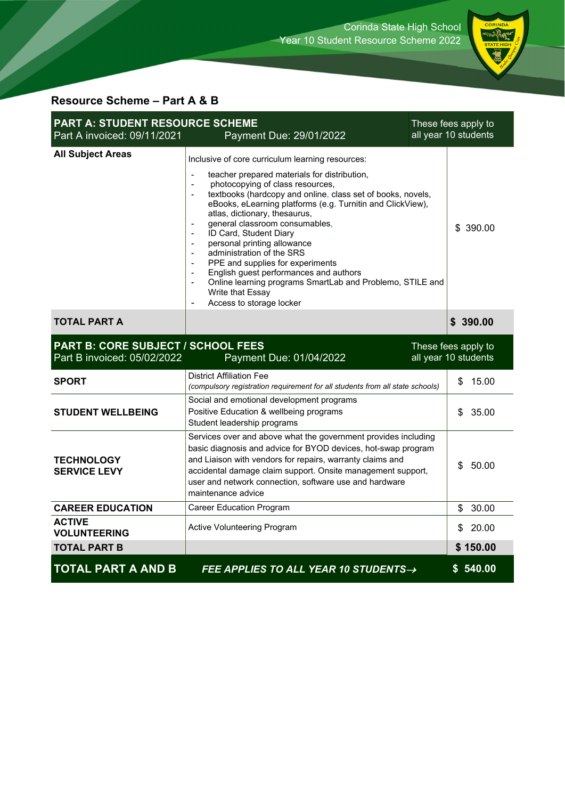

### **Resource Scheme – Part A & B**

| <b>PART A: STUDENT RESOURCE SCHEME</b><br>Part A invoiced: 09/11/2021<br>Payment Due: 29/01/2022 |                                                                                                                                                                                                                                                                                                                                                                                                                                                                                                                                                                                                                                                   | These fees apply to<br>all year 10 students |                                             |
|--------------------------------------------------------------------------------------------------|---------------------------------------------------------------------------------------------------------------------------------------------------------------------------------------------------------------------------------------------------------------------------------------------------------------------------------------------------------------------------------------------------------------------------------------------------------------------------------------------------------------------------------------------------------------------------------------------------------------------------------------------------|---------------------------------------------|---------------------------------------------|
| <b>All Subject Areas</b>                                                                         | Inclusive of core curriculum learning resources:<br>teacher prepared materials for distribution,<br>photocopying of class resources,<br>$\sim$<br>textbooks (hardcopy and online, class set of books, novels,<br>eBooks, eLearning platforms (e.g. Turnitin and ClickView),<br>atlas, dictionary, thesaurus,<br>general classroom consumables,<br>ID Card, Student Diary<br>personal printing allowance<br>administration of the SRS<br>PPE and supplies for experiments<br>English guest performances and authors<br>Online learning programs SmartLab and Problemo, STILE and<br>$\blacksquare$<br>Write that Essay<br>Access to storage locker |                                             | \$390.00                                    |
| <b>TOTAL PART A</b>                                                                              |                                                                                                                                                                                                                                                                                                                                                                                                                                                                                                                                                                                                                                                   |                                             | \$390.00                                    |
| <b>PART B: CORE SUBJECT / SCHOOL FEES</b><br>Part B invoiced: 05/02/2022                         | Payment Due: 01/04/2022                                                                                                                                                                                                                                                                                                                                                                                                                                                                                                                                                                                                                           |                                             | These fees apply to<br>all year 10 students |
| <b>SPORT</b>                                                                                     | <b>District Affiliation Fee</b><br>(compulsory registration requirement for all students from all state schools)                                                                                                                                                                                                                                                                                                                                                                                                                                                                                                                                  |                                             | \$<br>15.00                                 |
| <b>STUDENT WELLBEING</b>                                                                         | Social and emotional development programs<br>Positive Education & wellbeing programs<br>Student leadership programs                                                                                                                                                                                                                                                                                                                                                                                                                                                                                                                               |                                             | 35.00<br>\$                                 |
| <b>TECHNOLOGY</b><br><b>SERVICE LEVY</b>                                                         | Services over and above what the government provides including<br>basic diagnosis and advice for BYOD devices, hot-swap program<br>and Liaison with vendors for repairs, warranty claims and<br>accidental damage claim support. Onsite management support,<br>user and network connection, software use and hardware<br>maintenance advice                                                                                                                                                                                                                                                                                                       |                                             | \$<br>50.00                                 |
| <b>CAREER EDUCATION</b>                                                                          | <b>Career Education Program</b>                                                                                                                                                                                                                                                                                                                                                                                                                                                                                                                                                                                                                   |                                             | 30.00<br>\$                                 |
| <b>ACTIVE</b><br><b>VOLUNTEERING</b>                                                             | Active Volunteering Program                                                                                                                                                                                                                                                                                                                                                                                                                                                                                                                                                                                                                       |                                             | 20.00<br>S                                  |
| <b>TOTAL PART B</b>                                                                              |                                                                                                                                                                                                                                                                                                                                                                                                                                                                                                                                                                                                                                                   |                                             | \$150.00                                    |
| <b>TOTAL PART A AND B</b>                                                                        | FEE APPLIES TO ALL YEAR 10 STUDENTS→                                                                                                                                                                                                                                                                                                                                                                                                                                                                                                                                                                                                              |                                             | \$540.00                                    |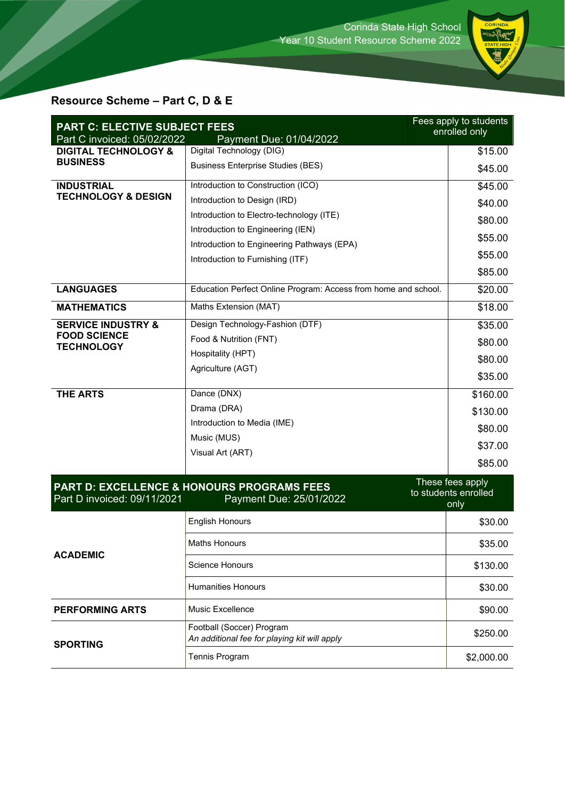

# **Resource Scheme – Part C, D & E**

| <b>PART C: ELECTIVE SUBJECT FEES</b><br>Part C invoiced: 05/02/2022<br>Payment Due: 01/04/2022    |                                                                           | Fees apply to students<br>enrolled only |  |
|---------------------------------------------------------------------------------------------------|---------------------------------------------------------------------------|-----------------------------------------|--|
| <b>DIGITAL TECHNOLOGY &amp;</b>                                                                   | Digital Technology (DIG)                                                  | \$15.00                                 |  |
| <b>BUSINESS</b>                                                                                   | <b>Business Enterprise Studies (BES)</b>                                  | \$45.00                                 |  |
| <b>INDUSTRIAL</b><br><b>TECHNOLOGY &amp; DESIGN</b>                                               | Introduction to Construction (ICO)                                        | \$45.00                                 |  |
|                                                                                                   | Introduction to Design (IRD)                                              | \$40.00                                 |  |
|                                                                                                   | Introduction to Electro-technology (ITE)                                  | \$80.00                                 |  |
|                                                                                                   | Introduction to Engineering (IEN)                                         | \$55.00                                 |  |
|                                                                                                   | Introduction to Engineering Pathways (EPA)                                |                                         |  |
|                                                                                                   | Introduction to Furnishing (ITF)                                          | \$55.00                                 |  |
|                                                                                                   |                                                                           | \$85.00                                 |  |
| <b>LANGUAGES</b>                                                                                  | Education Perfect Online Program: Access from home and school.            | \$20.00                                 |  |
| <b>MATHEMATICS</b>                                                                                | Maths Extension (MAT)                                                     | \$18.00                                 |  |
| <b>SERVICE INDUSTRY &amp;</b>                                                                     | Design Technology-Fashion (DTF)                                           | \$35.00                                 |  |
| <b>FOOD SCIENCE</b><br><b>TECHNOLOGY</b>                                                          | Food & Nutrition (FNT)                                                    | \$80.00                                 |  |
|                                                                                                   | Hospitality (HPT)                                                         | \$80.00                                 |  |
|                                                                                                   | Agriculture (AGT)                                                         | \$35.00                                 |  |
| <b>THE ARTS</b>                                                                                   | Dance (DNX)                                                               | \$160.00                                |  |
|                                                                                                   | Drama (DRA)                                                               |                                         |  |
|                                                                                                   | Introduction to Media (IME)                                               | \$130.00                                |  |
|                                                                                                   | Music (MUS)                                                               | \$80.00                                 |  |
|                                                                                                   | Visual Art (ART)                                                          | \$37.00                                 |  |
|                                                                                                   |                                                                           | \$85.00                                 |  |
| These fees apply<br><b>PART D: EXCELLENCE &amp; HONOURS PROGRAMS FEES</b><br>to students enrolled |                                                                           |                                         |  |
| Part D invoiced: 09/11/2021                                                                       | Payment Due: 25/01/2022                                                   | only                                    |  |
|                                                                                                   | <b>English Honours</b>                                                    | \$30.00                                 |  |
| <b>ACADEMIC</b>                                                                                   | <b>Maths Honours</b>                                                      | \$35.00                                 |  |
|                                                                                                   | <b>Science Honours</b>                                                    | \$130.00                                |  |
|                                                                                                   | <b>Humanities Honours</b>                                                 | \$30.00                                 |  |
| <b>PERFORMING ARTS</b>                                                                            | Music Excellence                                                          | \$90.00                                 |  |
| <b>SPORTING</b>                                                                                   | Football (Soccer) Program<br>An additional fee for playing kit will apply | \$250.00                                |  |
|                                                                                                   | Tennis Program                                                            | \$2,000.00                              |  |